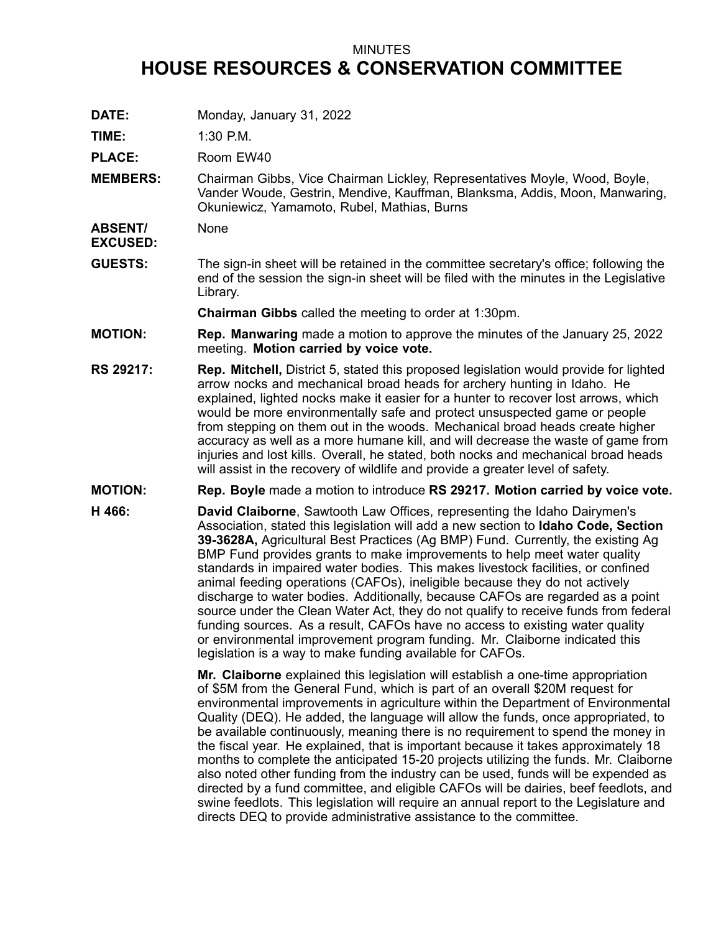## MINUTES **HOUSE RESOURCES & CONSERVATION COMMITTEE**

**DATE:** Monday, January 31, 2022

**TIME:** 1:30 P.M.

PLACE: Room EW40

**MEMBERS:** Chairman Gibbs, Vice Chairman Lickley, Representatives Moyle, Wood, Boyle, Vander Woude, Gestrin, Mendive, Kauffman, Blanksma, Addis, Moon, Manwaring, Okuniewicz, Yamamoto, Rubel, Mathias, Burns

**ABSENT/ EXCUSED: None** 

**GUESTS:** The sign-in sheet will be retained in the committee secretary's office; following the end of the session the sign-in sheet will be filed with the minutes in the Legislative Library.

**Chairman Gibbs** called the meeting to order at 1:30pm.

- **MOTION: Rep. Manwaring** made <sup>a</sup> motion to approve the minutes of the January 25, 2022 meeting. **Motion carried by voice vote.**
- **RS 29217: Rep. Mitchell,** District 5, stated this proposed legislation would provide for lighted arrow nocks and mechanical broad heads for archery hunting in Idaho. He explained, lighted nocks make it easier for <sup>a</sup> hunter to recover lost arrows, which would be more environmentally safe and protect unsuspected game or people from stepping on them out in the woods. Mechanical broad heads create higher accuracy as well as <sup>a</sup> more humane kill, and will decrease the waste of game from injuries and lost kills. Overall, he stated, both nocks and mechanical broad heads will assist in the recovery of wildlife and provide <sup>a</sup> greater level of safety.
- **MOTION: Rep. Boyle** made <sup>a</sup> motion to introduce **RS 29217. Motion carried by voice vote.**
- **H 466: David Claiborne**, Sawtooth Law Offices, representing the Idaho Dairymen's Association, stated this legislation will add <sup>a</sup> new section to **Idaho Code, Section 39-3628A,** Agricultural Best Practices (Ag BMP) Fund. Currently, the existing Ag BMP Fund provides grants to make improvements to help meet water quality standards in impaired water bodies. This makes livestock facilities, or confined animal feeding operations (CAFOs), ineligible because they do not actively discharge to water bodies. Additionally, because CAFOs are regarded as <sup>a</sup> point source under the Clean Water Act, they do not qualify to receive funds from federal funding sources. As <sup>a</sup> result, CAFOs have no access to existing water quality or environmental improvement program funding. Mr. Claiborne indicated this legislation is <sup>a</sup> way to make funding available for CAFOs.

**Mr. Claiborne** explained this legislation will establish <sup>a</sup> one-time appropriation of \$5M from the General Fund, which is part of an overall \$20M request for environmental improvements in agriculture within the Department of Environmental Quality (DEQ). He added, the language will allow the funds, once appropriated, to be available continuously, meaning there is no requirement to spend the money in the fiscal year. He explained, that is important because it takes approximately 18 months to complete the anticipated 15-20 projects utilizing the funds. Mr. Claiborne also noted other funding from the industry can be used, funds will be expended as directed by <sup>a</sup> fund committee, and eligible CAFOs will be dairies, beef feedlots, and swine feedlots. This legislation will require an annual report to the Legislature and directs DEQ to provide administrative assistance to the committee.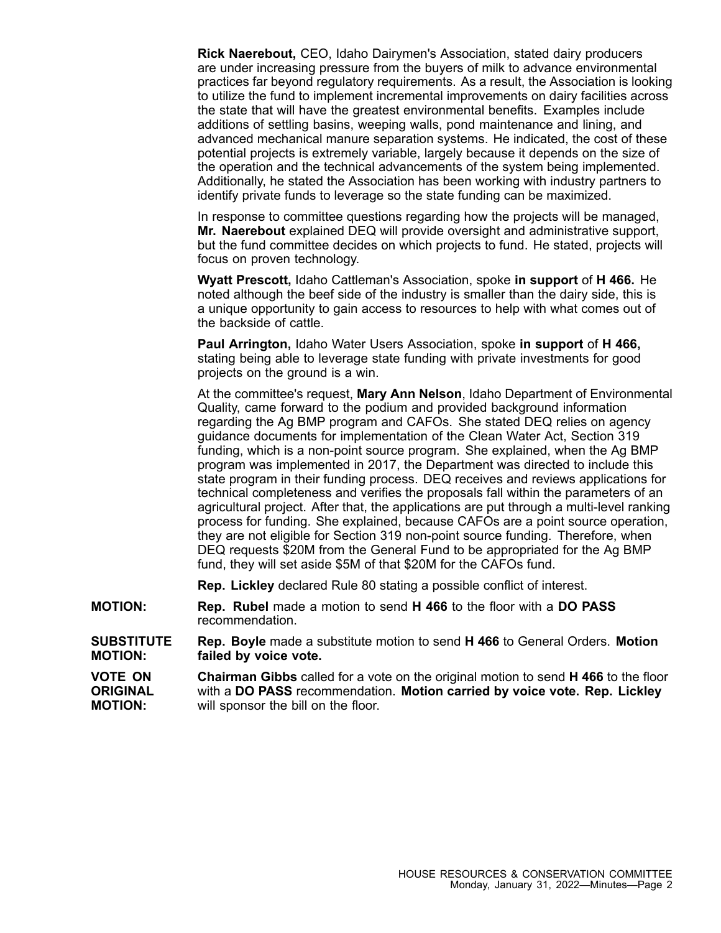**Rick Naerebout,** CEO, Idaho Dairymen's Association, stated dairy producers are under increasing pressure from the buyers of milk to advance environmental practices far beyond regulatory requirements. As <sup>a</sup> result, the Association is looking to utilize the fund to implement incremental improvements on dairy facilities across the state that will have the greatest environmental benefits. Examples include additions of settling basins, weeping walls, pond maintenance and lining, and advanced mechanical manure separation systems. He indicated, the cost of these potential projects is extremely variable, largely because it depends on the size of the operation and the technical advancements of the system being implemented. Additionally, he stated the Association has been working with industry partners to identify private funds to leverage so the state funding can be maximized.

In response to committee questions regarding how the projects will be managed, **Mr. Naerebout** explained DEQ will provide oversight and administrative support, but the fund committee decides on which projects to fund. He stated, projects will focus on proven technology.

**Wyatt Prescott,** Idaho Cattleman's Association, spoke **in support** of **H 466.** He noted although the beef side of the industry is smaller than the dairy side, this is <sup>a</sup> unique opportunity to gain access to resources to help with what comes out of the backside of cattle.

**Paul Arrington,** Idaho Water Users Association, spoke **in support** of **H 466,** stating being able to leverage state funding with private investments for good projects on the ground is <sup>a</sup> win.

At the committee's request, **Mary Ann Nelson**, Idaho Department of Environmental Quality, came forward to the podium and provided background information regarding the Ag BMP program and CAFOs. She stated DEQ relies on agency guidance documents for implementation of the Clean Water Act, Section 319 funding, which is <sup>a</sup> non-point source program. She explained, when the Ag BMP program was implemented in 2017, the Department was directed to include this state program in their funding process. DEQ receives and reviews applications for technical completeness and verifies the proposals fall within the parameters of an agricultural project. After that, the applications are put through <sup>a</sup> multi-level ranking process for funding. She explained, because CAFOs are <sup>a</sup> point source operation, they are not eligible for Section 319 non-point source funding. Therefore, when DEQ requests \$20M from the General Fund to be appropriated for the Ag BMP fund, they will set aside \$5M of that \$20M for the CAFOs fund.

**Rep. Lickley** declared Rule 80 stating <sup>a</sup> possible conflict of interest.

- **MOTION: Rep. Rubel** made <sup>a</sup> motion to send **H 466** to the floor with <sup>a</sup> **DO PASS** recommendation.
- **SUBSTITUTE MOTION: Rep. Boyle** made <sup>a</sup> substitute motion to send **H 466** to General Orders. **Motion failed by voice vote.**

**VOTE ON ORIGINAL MOTION: Chairman Gibbs** called for <sup>a</sup> vote on the original motion to send **H 466** to the floor with <sup>a</sup> **DO PASS** recommendation. **Motion carried by voice vote. Rep. Lickley** will sponsor the bill on the floor.